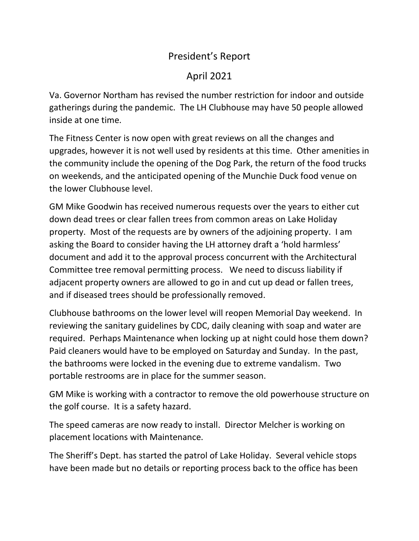## President's Report

## April 2021

Va. Governor Northam has revised the number restriction for indoor and outside gatherings during the pandemic. The LH Clubhouse may have 50 people allowed inside at one time.

The Fitness Center is now open with great reviews on all the changes and upgrades, however it is not well used by residents at this time. Other amenities in the community include the opening of the Dog Park, the return of the food trucks on weekends, and the anticipated opening of the Munchie Duck food venue on the lower Clubhouse level.

GM Mike Goodwin has received numerous requests over the years to either cut down dead trees or clear fallen trees from common areas on Lake Holiday property. Most of the requests are by owners of the adjoining property. I am asking the Board to consider having the LH attorney draft a 'hold harmless' document and add it to the approval process concurrent with the Architectural Committee tree removal permitting process. We need to discuss liability if adjacent property owners are allowed to go in and cut up dead or fallen trees, and if diseased trees should be professionally removed.

Clubhouse bathrooms on the lower level will reopen Memorial Day weekend. In reviewing the sanitary guidelines by CDC, daily cleaning with soap and water are required. Perhaps Maintenance when locking up at night could hose them down? Paid cleaners would have to be employed on Saturday and Sunday. In the past, the bathrooms were locked in the evening due to extreme vandalism. Two portable restrooms are in place for the summer season.

GM Mike is working with a contractor to remove the old powerhouse structure on the golf course. It is a safety hazard.

The speed cameras are now ready to install. Director Melcher is working on placement locations with Maintenance.

The Sheriff's Dept. has started the patrol of Lake Holiday. Several vehicle stops have been made but no details or reporting process back to the office has been